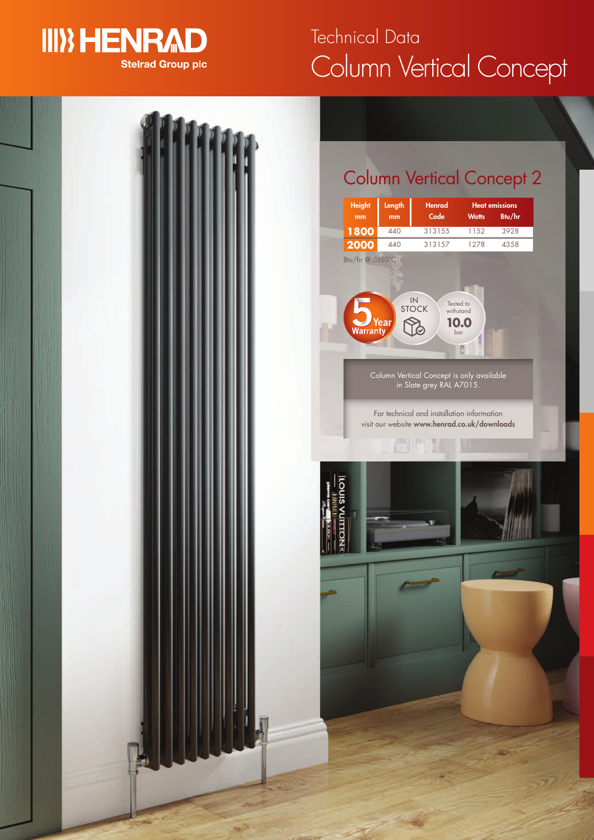## **III) HENRAD Stelrad Group plc**

# Column Vertical Concept Technical Data

## Column Vertical Concept 2

| <b>Height</b>                              | Length      | <b>Henrad</b>                                                                                                       |                                      | <b>Heat emissions</b> |
|--------------------------------------------|-------------|---------------------------------------------------------------------------------------------------------------------|--------------------------------------|-----------------------|
| mm<br>1800                                 | mm<br>440   | $\overline{\text{Code}}$<br>313155                                                                                  | <b>Watts</b><br>1152                 | Btu/hr<br>3928        |
| 2000                                       | 440         | 313157                                                                                                              | 1278                                 | 4358                  |
| Btu/hr @ △t50°C<br><b>Vear</b><br>Warranty | IN<br>STOCK |                                                                                                                     | Tested to<br>withstand<br>0.0<br>bar |                       |
|                                            |             | Column Vertical Concept is only available<br>in Slate grey RAL A7015.<br>For technical and installation information |                                      |                       |
|                                            |             | visit our website www.henrad.co.uk/downloads                                                                        |                                      |                       |
|                                            |             |                                                                                                                     |                                      |                       |
|                                            |             |                                                                                                                     |                                      |                       |
|                                            |             |                                                                                                                     |                                      |                       |
|                                            |             |                                                                                                                     |                                      |                       |